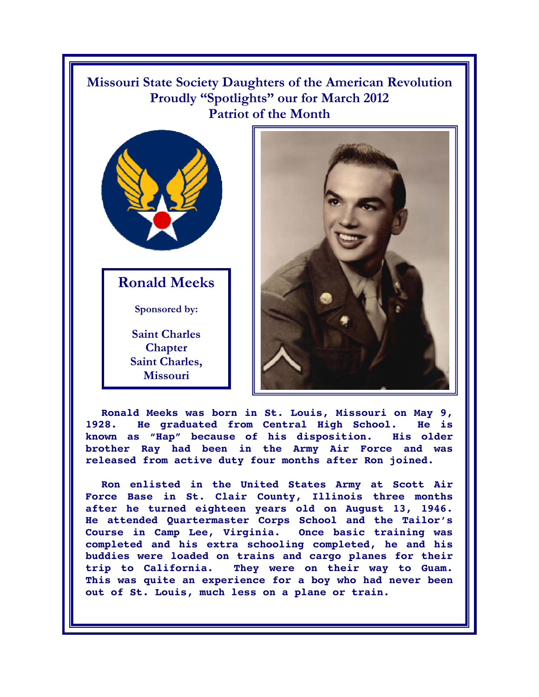**Missouri State Society Daughters of the American Revolution Proudly "Spotlights" our for March 2012 Patriot of the Month** 



**Ronald Meeks** 

**Sponsored by:** 

**Saint Charles Chapter Saint Charles, Missouri** 



**Ronald Meeks was born in St. Louis, Missouri on May 9, 1928. He graduated from Central High School. He is known as "Hap" because of his disposition. His older brother Ray had been in the Army Air Force and was released from active duty four months after Ron joined.** 

**Ron enlisted in the United States Army at Scott Air Force Base in St. Clair County, Illinois three months after he turned eighteen years old on August 13, 1946. He attended Quartermaster Corps School and the Tailor's Course in Camp Lee, Virginia. Once basic training was completed and his extra schooling completed, he and his buddies were loaded on trains and cargo planes for their trip to California. They were on their way to Guam. This was quite an experience for a boy who had never been out of St. Louis, much less on a plane or train.**